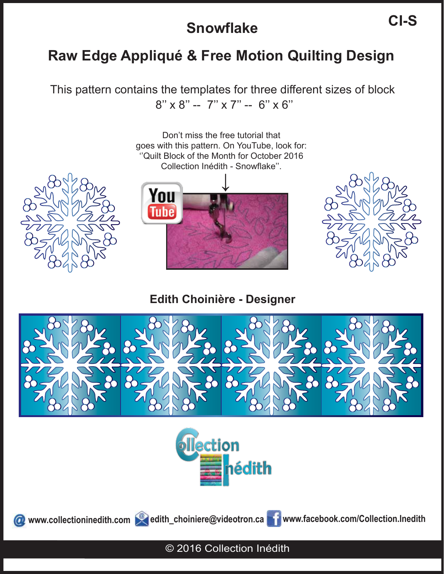# **Raw Edge Appliqué & Free Motion Quilting Design**

This pattern contains the templates for three different sizes of block  $8'' \times 8'' - 7'' \times 7'' - 6'' \times 6''$ 



**Edith Choinière - Designer**





www.collectioninedith.com edith\_choiniere@videotron.ca **www.facebook.com/Collection.Inedith** 

© 2016 Collection Inédith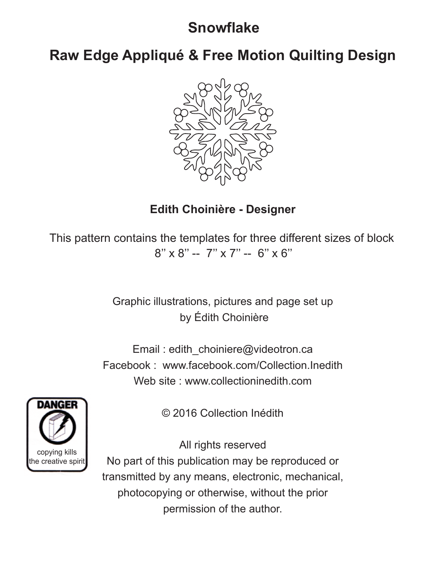**Raw Edge Appliqué & Free Motion Quilting Design**



### **Edith Choinière - Designer**

This pattern contains the templates for three different sizes of block 8'' x 8'' -- 7'' x 7'' -- 6'' x 6''

> Graphic illustrations, pictures and page set up by Édith Choinière

Email : edith\_choiniere@videotron.ca Facebook : www.facebook.com/Collection.Inedith Web site : www.collectioninedith.com



© 2016 Collection Inédith

All rights reserved No part of this publication may be reproduced or transmitted by any means, electronic, mechanical, photocopying or otherwise, without the prior permission of the author.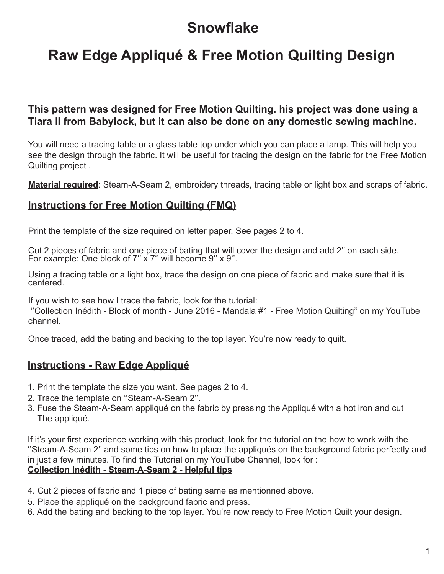# **Raw Edge Appliqué & Free Motion Quilting Design**

#### **This pattern was designed for Free Motion Quilting. his project was done using a Tiara II from Babylock, but it can also be done on any domestic sewing machine.**

You will need a tracing table or a glass table top under which you can place a lamp. This will help you see the design through the fabric. It will be useful for tracing the design on the fabric for the Free Motion Quilting project .

**Material required**: Steam-A-Seam 2, embroidery threads, tracing table or light box and scraps of fabric.

#### **Instructions for Free Motion Quilting (FMQ)**

Print the template of the size required on letter paper. See pages 2 to 4.

Cut 2 pieces of fabric and one piece of bating that will cover the design and add 2" on each side.<br>For example: One block of 7'' x 7'' will become 9'' x 9''.

Using a tracing table or a light box, trace the design on one piece of fabric and make sure that it is centered.

If you wish to see how I trace the fabric, look for the tutorial:

 ''Collection Inédith - Block of month - June 2016 - Mandala #1 - Free Motion Quilting'' on my YouTube channel.

Once traced, add the bating and backing to the top layer. You're now ready to quilt.

#### **Instructions - Raw Edge Appliqué**

- 1. Print the template the size you want. See pages 2 to 4.
- 2. Trace the template on ''Steam-A-Seam 2''.
- 3. Fuse the Steam-A-Seam appliqué on the fabric by pressing the Appliqué with a hot iron and cut The appliqué.

If it's your first experience working with this product, look for the tutorial on the how to work with the ''Steam-A-Seam 2'' and some tips on how to place the appliqués on the background fabric perfectly and in just a few minutes. To find the Tutorial on my YouTube Channel, look for :

#### **Collection Inédith - Steam-A-Seam 2 - Helpful tips**

- 4. Cut 2 pieces of fabric and 1 piece of bating same as mentionned above.
- 5. Place the appliqué on the background fabric and press.
- 6. Add the bating and backing to the top layer. You're now ready to Free Motion Quilt your design.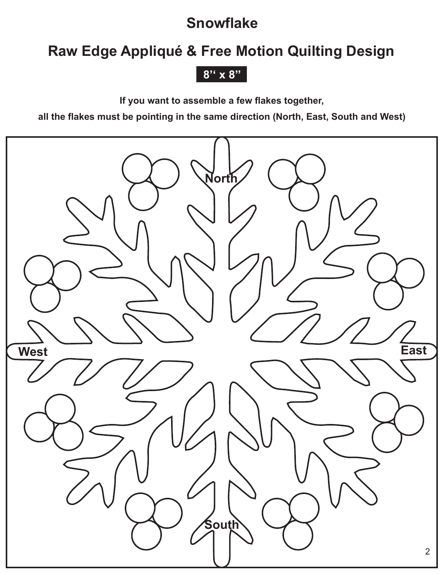# **Raw Edge Appliqué & Free Motion Quilting Design**

### **8'' x 8''**

**If you want to assemble a few flakes together,** 

**all the flakes must be pointing in the same direction (North, East, South and West)**

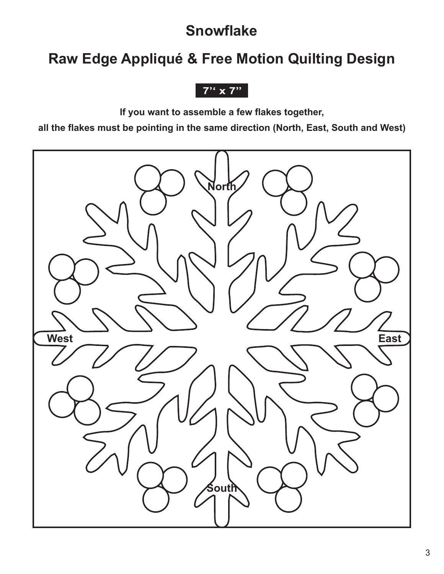# **Raw Edge Appliqué & Free Motion Quilting Design**

**7'' x 7''**

**If you want to assemble a few flakes together,** 

**all the flakes must be pointing in the same direction (North, East, South and West)**

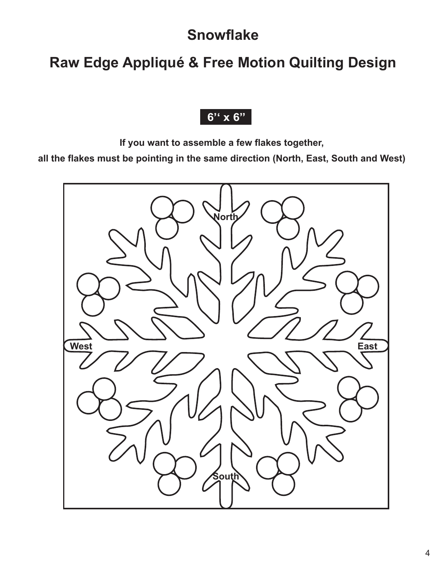# **Raw Edge Appliqué & Free Motion Quilting Design**

### **6'' x 6''**

**If you want to assemble a few flakes together,** 

**all the flakes must be pointing in the same direction (North, East, South and West)**